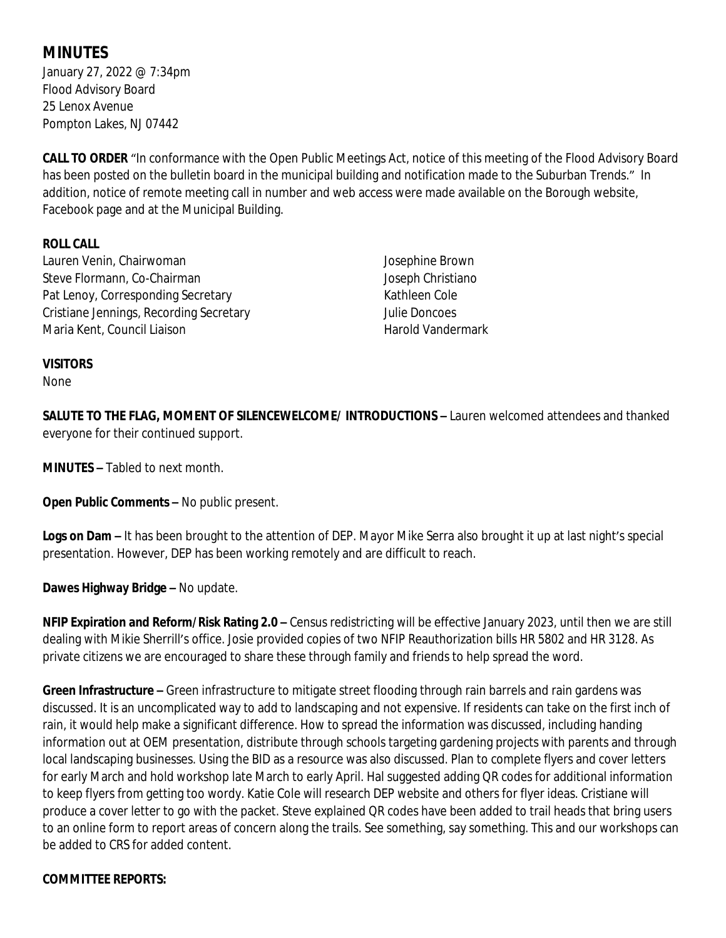# **MINUTES**

January 27, 2022 @ 7:34pm Flood Advisory Board 25 Lenox Avenue Pompton Lakes, NJ 07442

**CALL TO ORDER** "In conformance with the Open Public Meetings Act, notice of this meeting of the Flood Advisory Board has been posted on the bulletin board in the municipal building and notification made to the Suburban Trends." In addition, notice of remote meeting call in number and web access were made available on the Borough website, Facebook page and at the Municipal Building.

## **ROLL CALL**

Lauren Venin, Chairwoman Steve Flormann, Co-Chairman Pat Lenoy, Corresponding Secretary Cristiane Jennings, Recording Secretary Maria Kent, Council Liaison

Josephine Brown Joseph Christiano Kathleen Cole Julie Doncoes Harold Vandermark

#### **VISITORS**

None

**SALUTE TO THE FLAG, MOMENT OF SILENCEWELCOME/ INTRODUCTIONS –** Lauren welcomed attendees and thanked everyone for their continued support.

**MINUTES –** Tabled to next month.

**Open Public Comments –** No public present.

**Logs on Dam –** It has been brought to the attention of DEP. Mayor Mike Serra also brought it up at last night's special presentation. However, DEP has been working remotely and are difficult to reach.

**Dawes Highway Bridge –** No update.

**NFIP Expiration and Reform/Risk Rating 2.0 –** Census redistricting will be effective January 2023, until then we are still dealing with Mikie Sherrill's office. Josie provided copies of two NFIP Reauthorization bills HR 5802 and HR 3128. As private citizens we are encouraged to share these through family and friends to help spread the word.

**Green Infrastructure –** Green infrastructure to mitigate street flooding through rain barrels and rain gardens was discussed. It is an uncomplicated way to add to landscaping and not expensive. If residents can take on the first inch of rain, it would help make a significant difference. How to spread the information was discussed, including handing information out at OEM presentation, distribute through schools targeting gardening projects with parents and through local landscaping businesses. Using the BID as a resource was also discussed. Plan to complete flyers and cover letters for early March and hold workshop late March to early April. Hal suggested adding QR codes for additional information to keep flyers from getting too wordy. Katie Cole will research DEP website and others for flyer ideas. Cristiane will produce a cover letter to go with the packet. Steve explained QR codes have been added to trail heads that bring users to an online form to report areas of concern along the trails. See something, say something. This and our workshops can be added to CRS for added content.

#### **COMMITTEE REPORTS:**